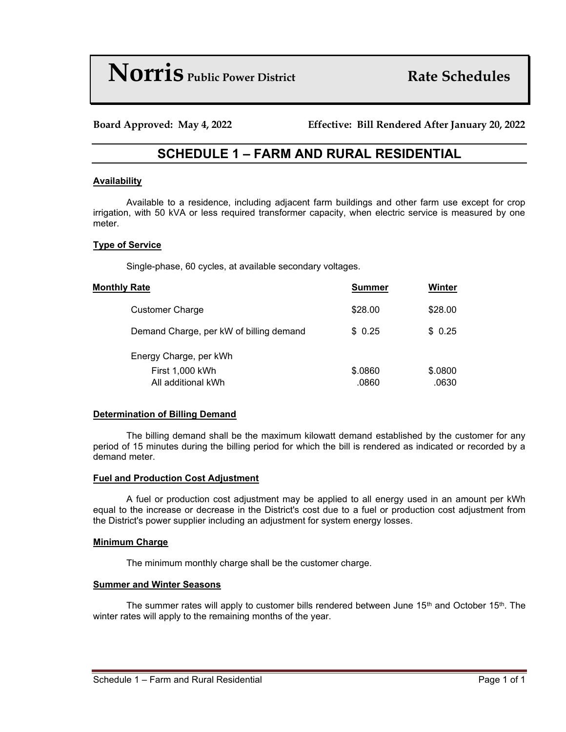# **Norris** *Public Power District* **Rate Schedules**

**Board Approved: May 4, 2022 Effective: Bill Rendered After January 20, 2022**

# **SCHEDULE 1 – FARM AND RURAL RESIDENTIAL**

#### **Availability**

Available to a residence, including adjacent farm buildings and other farm use except for crop irrigation, with 50 kVA or less required transformer capacity, when electric service is measured by one meter.

#### **Type of Service**

Single-phase, 60 cycles, at available secondary voltages.

| <b>Monthly Rate</b>                     | <b>Summer</b> | Winter  |
|-----------------------------------------|---------------|---------|
| <b>Customer Charge</b>                  | \$28.00       | \$28.00 |
| Demand Charge, per kW of billing demand | \$0.25        | \$0.25  |
| Energy Charge, per kWh                  |               |         |
| First 1,000 kWh                         | \$.0860       | \$.0800 |
| All additional kWh                      | .0860         | .0630   |

#### **Determination of Billing Demand**

The billing demand shall be the maximum kilowatt demand established by the customer for any period of 15 minutes during the billing period for which the bill is rendered as indicated or recorded by a demand meter.

#### **Fuel and Production Cost Adjustment**

A fuel or production cost adjustment may be applied to all energy used in an amount per kWh equal to the increase or decrease in the District's cost due to a fuel or production cost adjustment from the District's power supplier including an adjustment for system energy losses.

#### **Minimum Charge**

The minimum monthly charge shall be the customer charge.

#### **Summer and Winter Seasons**

The summer rates will apply to customer bills rendered between June  $15<sup>th</sup>$  and October  $15<sup>th</sup>$ . The winter rates will apply to the remaining months of the year.